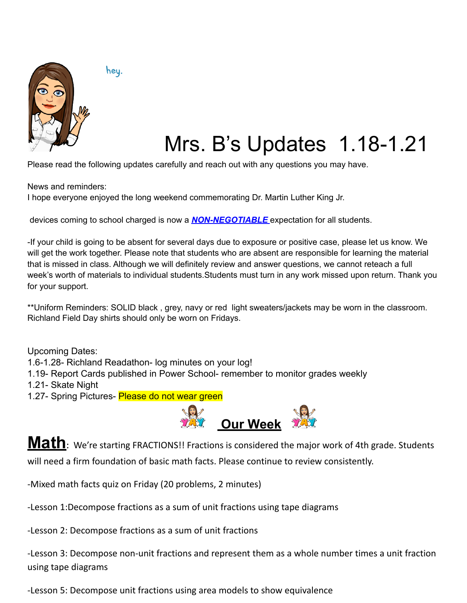

hey.

## Mrs. B's Updates 1.18-1.21

Please read the following updates carefully and reach out with any questions you may have.

News and reminders:

I hope everyone enjoyed the long weekend commemorating Dr. Martin Luther King Jr.

devices coming to school charged is now a *NON-NEGOTIABLE* expectation for all students.

-If your child is going to be absent for several days due to exposure or positive case, please let us know. We will get the work together. Please note that students who are absent are responsible for learning the material that is missed in class. Although we will definitely review and answer questions, we cannot reteach a full week's worth of materials to individual students.Students must turn in any work missed upon return. Thank you for your support.

\*\*Uniform Reminders: SOLID black , grey, navy or red light sweaters/jackets may be worn in the classroom. Richland Field Day shirts should only be worn on Fridays.

Upcoming Dates:

1.6-1.28- Richland Readathon- log minutes on your log!

- 1.19- Report Cards published in Power School- remember to monitor grades weekly
- 1.21- Skate Night
- 1.27- Spring Pictures- Please do not wear green



**Math**: We're starting FRACTIONS!! Fractions is considered the major work of 4th grade. Students will need a firm foundation of basic math facts. Please continue to review consistently.

-Mixed math facts quiz on Friday (20 problems, 2 minutes)

-Lesson 1:Decompose fractions as a sum of unit fractions using tape diagrams

-Lesson 2: Decompose fractions as a sum of unit fractions

-Lesson 3: Decompose non-unit fractions and represent them as a whole number times a unit fraction using tape diagrams

-Lesson 5: Decompose unit fractions using area models to show equivalence